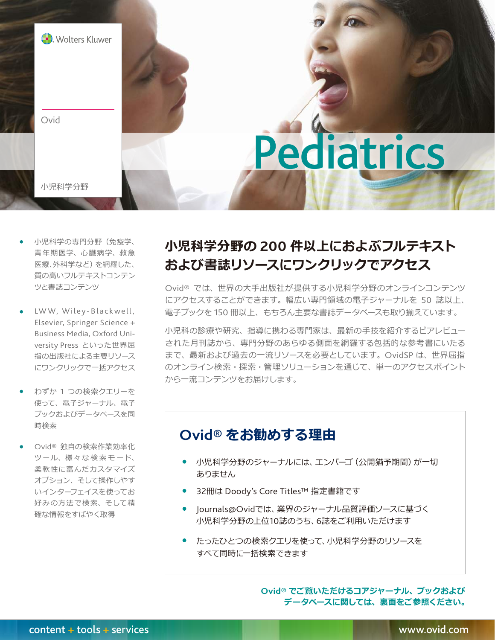

- 小児科学の専門分野(免疫学、 青年期医学、心臓病学、救急 医療、外科学など)を網羅した、 質の高いフルテキストコンテン ツと書誌コンテンツ
- LWW, Wiley-Blackwell, Elsevier, Springer Science + Business Media, Oxford University Press といった世界屈 指の出版社による主要リソース にワンクリックで一括アクセス
- わずか 1 つの検索クエリーを 使って、電子ジャーナル、電子 ブックおよびデータベースを同 時検索
- Ovid® 独自の検索作業効率化 ツール、様々な検索モード、 柔軟性に富んだカスタマイズ オプション、そして操作しやす いインターフェイスを使ってお 好みの方法で検索、そして精 確な情報をすばやく取得

# **小児科学分野の 200 件以上におよぶフルテキスト および書誌リソースにワンクリックでアクセス**

Ovid® では、世界の大手出版社が提供する小児科学分野のオンラインコンテンツ にアクセスすることができます。幅広い専門領域の電子ジャーナルを 50 誌以上、 電子ブックを 150 冊以上、もちろん主要な書誌データベースも取り揃えています。

小児科の診療や研究、指導に携わる専門家は、最新の手技を紹介するピアレビュー された月刊誌から、専門分野のあらゆる側面を網羅する包括的な参考書にいたる まで、最新および過去の一流リソースを必要としています。OvidSP は、世界屈指 のオンライン検索・探索・管理ソリューションを通じて、単一のアクセスポイント から一流コンテンツをお届けします。

## **Ovid® をお勧めする理由**

- 小児科学分野のジャーナルには、エンバーゴ (公開猶予期間)が一切 ありません
- 32冊は Doody's Core Titles™ 指定書籍です
- Journals@Ovidでは、業界のジャーナル品質評価ソースに基づく 小児科学分野の上位10誌のうち、6誌をご利用いただけます
- たったひとつの検索クエリを使って、小児科学分野のリソースを すべて同時に一括検索できます

**Ovid® でご覧いただけるコアジャーナル、ブックおよび データベースに関しては、裏面をご参照ください。**